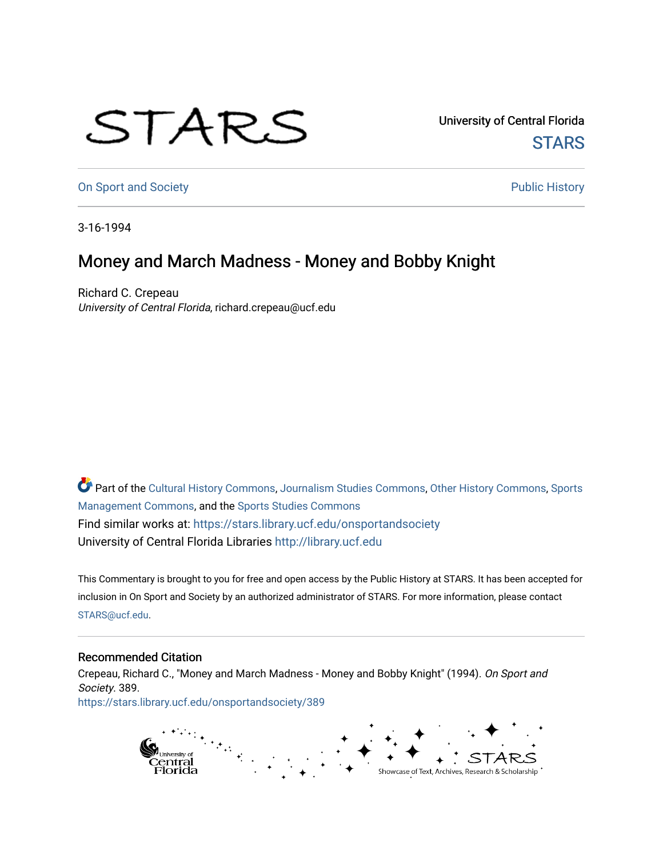## STARS

University of Central Florida **STARS** 

[On Sport and Society](https://stars.library.ucf.edu/onsportandsociety) **Public History** Public History

3-16-1994

## Money and March Madness - Money and Bobby Knight

Richard C. Crepeau University of Central Florida, richard.crepeau@ucf.edu

Part of the [Cultural History Commons](http://network.bepress.com/hgg/discipline/496?utm_source=stars.library.ucf.edu%2Fonsportandsociety%2F389&utm_medium=PDF&utm_campaign=PDFCoverPages), [Journalism Studies Commons,](http://network.bepress.com/hgg/discipline/333?utm_source=stars.library.ucf.edu%2Fonsportandsociety%2F389&utm_medium=PDF&utm_campaign=PDFCoverPages) [Other History Commons,](http://network.bepress.com/hgg/discipline/508?utm_source=stars.library.ucf.edu%2Fonsportandsociety%2F389&utm_medium=PDF&utm_campaign=PDFCoverPages) [Sports](http://network.bepress.com/hgg/discipline/1193?utm_source=stars.library.ucf.edu%2Fonsportandsociety%2F389&utm_medium=PDF&utm_campaign=PDFCoverPages) [Management Commons](http://network.bepress.com/hgg/discipline/1193?utm_source=stars.library.ucf.edu%2Fonsportandsociety%2F389&utm_medium=PDF&utm_campaign=PDFCoverPages), and the [Sports Studies Commons](http://network.bepress.com/hgg/discipline/1198?utm_source=stars.library.ucf.edu%2Fonsportandsociety%2F389&utm_medium=PDF&utm_campaign=PDFCoverPages) Find similar works at: <https://stars.library.ucf.edu/onsportandsociety> University of Central Florida Libraries [http://library.ucf.edu](http://library.ucf.edu/) 

This Commentary is brought to you for free and open access by the Public History at STARS. It has been accepted for inclusion in On Sport and Society by an authorized administrator of STARS. For more information, please contact [STARS@ucf.edu](mailto:STARS@ucf.edu).

## Recommended Citation

Crepeau, Richard C., "Money and March Madness - Money and Bobby Knight" (1994). On Sport and Society. 389. [https://stars.library.ucf.edu/onsportandsociety/389](https://stars.library.ucf.edu/onsportandsociety/389?utm_source=stars.library.ucf.edu%2Fonsportandsociety%2F389&utm_medium=PDF&utm_campaign=PDFCoverPages)

> n<sub>university of</sub><br>Central<br>Florida Showcase of Text, Archives, Research & Scholarship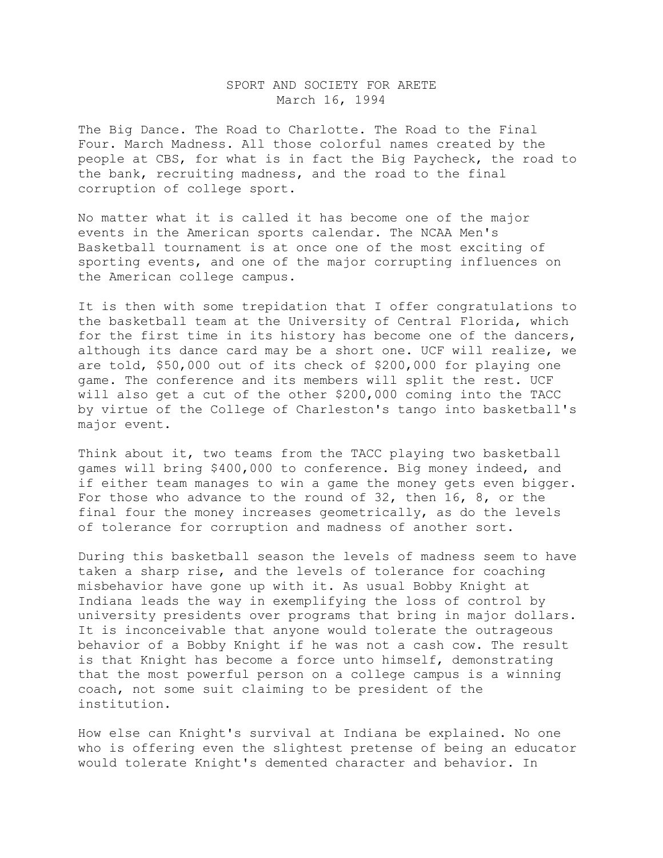## SPORT AND SOCIETY FOR ARETE March 16, 1994

The Big Dance. The Road to Charlotte. The Road to the Final Four. March Madness. All those colorful names created by the people at CBS, for what is in fact the Big Paycheck, the road to the bank, recruiting madness, and the road to the final corruption of college sport.

No matter what it is called it has become one of the major events in the American sports calendar. The NCAA Men's Basketball tournament is at once one of the most exciting of sporting events, and one of the major corrupting influences on the American college campus.

It is then with some trepidation that I offer congratulations to the basketball team at the University of Central Florida, which for the first time in its history has become one of the dancers, although its dance card may be a short one. UCF will realize, we are told, \$50,000 out of its check of \$200,000 for playing one game. The conference and its members will split the rest. UCF will also get a cut of the other \$200,000 coming into the TACC by virtue of the College of Charleston's tango into basketball's major event.

Think about it, two teams from the TACC playing two basketball games will bring \$400,000 to conference. Big money indeed, and if either team manages to win a game the money gets even bigger. For those who advance to the round of 32, then 16, 8, or the final four the money increases geometrically, as do the levels of tolerance for corruption and madness of another sort.

During this basketball season the levels of madness seem to have taken a sharp rise, and the levels of tolerance for coaching misbehavior have gone up with it. As usual Bobby Knight at Indiana leads the way in exemplifying the loss of control by university presidents over programs that bring in major dollars. It is inconceivable that anyone would tolerate the outrageous behavior of a Bobby Knight if he was not a cash cow. The result is that Knight has become a force unto himself, demonstrating that the most powerful person on a college campus is a winning coach, not some suit claiming to be president of the institution.

How else can Knight's survival at Indiana be explained. No one who is offering even the slightest pretense of being an educator would tolerate Knight's demented character and behavior. In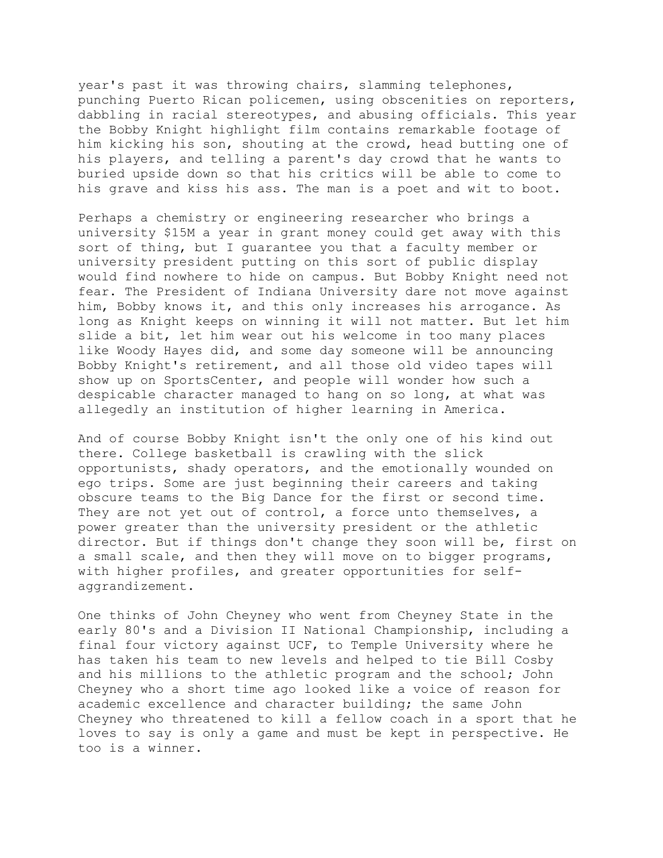year's past it was throwing chairs, slamming telephones, punching Puerto Rican policemen, using obscenities on reporters, dabbling in racial stereotypes, and abusing officials. This year the Bobby Knight highlight film contains remarkable footage of him kicking his son, shouting at the crowd, head butting one of his players, and telling a parent's day crowd that he wants to buried upside down so that his critics will be able to come to his grave and kiss his ass. The man is a poet and wit to boot.

Perhaps a chemistry or engineering researcher who brings a university \$15M a year in grant money could get away with this sort of thing, but I guarantee you that a faculty member or university president putting on this sort of public display would find nowhere to hide on campus. But Bobby Knight need not fear. The President of Indiana University dare not move against him, Bobby knows it, and this only increases his arrogance. As long as Knight keeps on winning it will not matter. But let him slide a bit, let him wear out his welcome in too many places like Woody Hayes did, and some day someone will be announcing Bobby Knight's retirement, and all those old video tapes will show up on SportsCenter, and people will wonder how such a despicable character managed to hang on so long, at what was allegedly an institution of higher learning in America.

And of course Bobby Knight isn't the only one of his kind out there. College basketball is crawling with the slick opportunists, shady operators, and the emotionally wounded on ego trips. Some are just beginning their careers and taking obscure teams to the Big Dance for the first or second time. They are not yet out of control, a force unto themselves, a power greater than the university president or the athletic director. But if things don't change they soon will be, first on a small scale, and then they will move on to bigger programs, with higher profiles, and greater opportunities for selfaggrandizement.

One thinks of John Cheyney who went from Cheyney State in the early 80's and a Division II National Championship, including a final four victory against UCF, to Temple University where he has taken his team to new levels and helped to tie Bill Cosby and his millions to the athletic program and the school; John Cheyney who a short time ago looked like a voice of reason for academic excellence and character building; the same John Cheyney who threatened to kill a fellow coach in a sport that he loves to say is only a game and must be kept in perspective. He too is a winner.